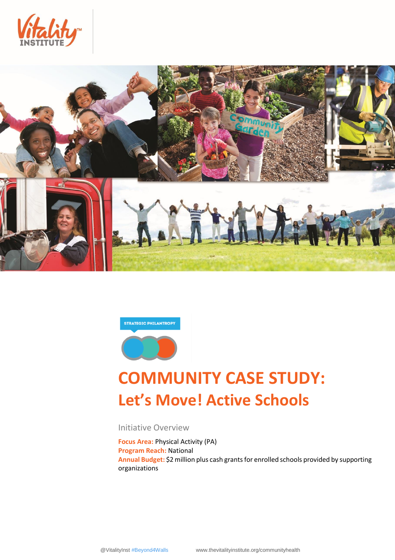





# **COMMUNITY CASE STUDY: Let's Move! Active Schools**

Initiative Overview

**Focus Area:** Physical Activity (PA) **Program Reach:** National **Annual Budget:** \$2 million plus cash grants for enrolled schools provided by supporting organizations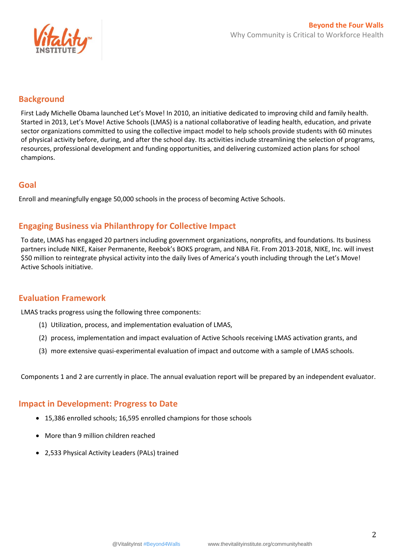

# **Background**

First Lady Michelle Obama launched Let's Move! In 2010, an initiative dedicated to improving child and family health. Started in 2013, Let's Move! Active Schools (LMAS) is a national collaborative of leading health, education, and private sector organizations committed to using the collective impact model to help schools provide students with 60 minutes of physical activity before, during, and after the school day. Its activities include streamlining the selection of programs, resources, professional development and funding opportunities, and delivering customized action plans for school champions.

## **Goal**

Enroll and meaningfully engage 50,000 schools in the process of becoming Active Schools.

# **Engaging Business via Philanthropy for Collective Impact**

To date, LMAS has engaged 20 partners including government organizations, nonprofits, and foundations. Its business partners include NIKE, Kaiser Permanente, Reebok's BOKS program, and NBA Fit. From 2013-2018, NIKE, Inc. will invest \$50 million to reintegrate physical activity into the daily lives of America's youth including through the Let's Move! Active Schools initiative.

#### **Evaluation Framework**

LMAS tracks progress using the following three components:

- (1) Utilization, process, and implementation evaluation of LMAS,
- (2) process, implementation and impact evaluation of Active Schools receiving LMAS activation grants, and
- (3) more extensive quasi-experimental evaluation of impact and outcome with a sample of LMAS schools.

Components 1 and 2 are currently in place. The annual evaluation report will be prepared by an independent evaluator.

## **Impact in Development: Progress to Date**

- 15,386 enrolled schools; 16,595 enrolled champions for those schools
- More than 9 million children reached
- 2,533 Physical Activity Leaders (PALs) trained